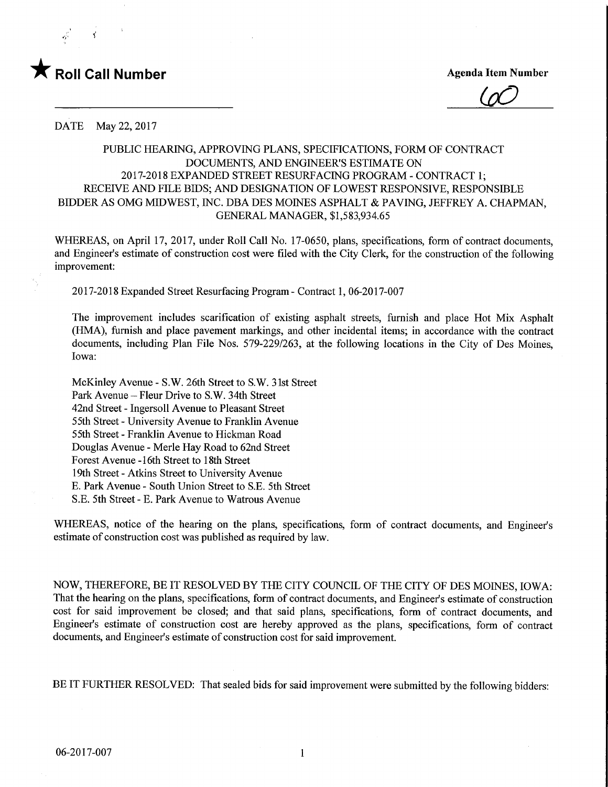

 $\overline{\omega}$ 

DATE May 22, 2017

## PUBLIC HEARING, APPROVING PLANS, SPECIFICATIONS, FORM OF CONTRACT DOCUMENTS, AND ENGINEER'S ESTIMATE ON 2017-2018 EXPANDED STREET RESURFACING PROGRAM - CONTRACT 1; RECEIVE AND FILE BIDS; AND DESIGNATION OF LOWEST RESPONSIVE, RESPONSIBLE BIDDER AS OMG MIDWEST, INC. DBA DES MOINES ASPHALT & PAVING, JEFFREY A. CHAPMAN, GENERAL MANAGER, \$1,583,934.65

WHEREAS, on April 17, 2017, under Roll Call No. 17-0650, plans, specifications, form of contract documents, and Engineer's estimate of construction cost were filed with the City Clerk, for the construction of the following improvement:

2017-2018 Expanded Street Resurfacing Program - Contract 1, 06-2017-007

The improvement includes scarification of existing asphalt streets, furnish and place Hot Mix Asphalt (HMA), furnish and place pavement markings, and other incidental items; in accordance with the contract documents, including Plan File Nos. 579-229/263, at the following locations in the City of Des Moines, Iowa:

McKinley Avenue - S.W. 26th Street to S.W. 31st Street Park Avenue - Fleur Drive to S.W. 34th Street 42nd Street - Ingersoll Avenue to Pleasant Street 55th Street - University Avenue to Franklin Avenue 55th Street - Franklin Avenue to Hickman Road Douglas Avenue - Merle Hay Road to 62nd Street Forest Avenue -16th Street to 18th Street 19th Street - Atkins Street to University Avenue E. Park Avenue - South Union Street to S.E. 5th Street S.E. 5th Street - E. Park Avenue to Watrous Avenue

WHEREAS, notice of the hearing on the plans, specifications, form of contract documents, and Engineer's estimate of construction cost was published as required by law.

NOW, THEREFORE, BE IT RESOLVED BY THE CITY COUNCIL OF THE CITY OF DES MOINES, IOWA: That the hearing on the plans, specifications, form of contract documents, and Engineer's estimate of construction cost for said improvement be closed; and that said plans, specifications, form of contract documents, and Engineer's estimate of construction cost are hereby approved as the plans, specifications, form of contract documents, and Engineer's estimate of construction cost for said improvement.

BE IT FURTHER RESOLVED: That sealed bids for said improvement were submitted by the following bidders: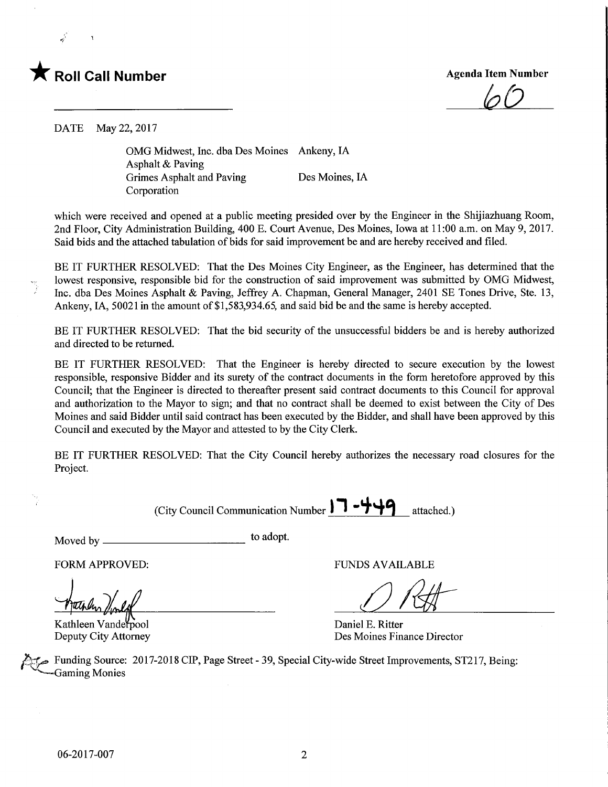

 $\varrho$ 

DATE May 22, 2017

OMG Midwest, Inc. dba Des Moines Ankeny, IA Asphalt & Paving Grimes Asphalt and Paving Des Moines, IA Corporation

which were received and opened at a public meeting presided over by the Engineer in the Shijiazhuang Room, 2nd Floor, City Administration Building, 400 E. Court Avenue, Des Moines, Iowa at 11:00 a.m. on May 9, 2017. Said bids and the attached tabulation of bids for said improvement be and are hereby received and filed.

BE IT FURTHER RESOLVED: That the Des Moines City Engineer, as the Engineer, has determined that the lowest responsive, responsible bid for the construction of said improvement was submitted by OMG Midwest, Inc. dba Des Moines Asphalt & Paving, Jeffrey A. Chapman, General Manager, 2401 SE Tones Drive, Ste. 13, Ankeny, IA, 50021 in the amount of \$1,583,934.65, and said bid be and the same is hereby accepted.

BE IT FURTHER RESOLVED: That the bid security of the unsuccessful bidders be and is hereby authorized and directed to be returned.

BE IT FURTHER RESOLVED: That the Engineer is hereby directed to secure execution by the lowest responsible, responsive Bidder and its surety of the contract documents in the form heretofore approved by this Council; that the Engineer is directed to thereafter present said contract documents to this Council for approval and authorization to the Mayor to sign; and that no contract shall be deemed to exist between the City of Des Moines and said Bidder until said contract has been executed by the Bidder, and shall have been approved by this Council and executed by the Mayor and attested to by the City Clerk.

BE IT FURTHER RESOLVED: That the City Council hereby authorizes the necessary road closures for the Project.

(City Council Communication Number  $\Box$   $\Box$   $\Box$   $\Box$  attached.)

Moved by \_ to ad°Pt-

FORM APPROVED: TUNDS AVAILABLE

 $\tilde{\mathbf{z}}$ 

Des Moines Finance Director

Kathleen Vanderpool Daniel E. Ritter<br>
Deputy City Attorney Des Moines Fin

Funding Source: 2017-2018 CIP, Page Street - 39, Special City-wide Street Improvements, ST217, Being: Gaming Monies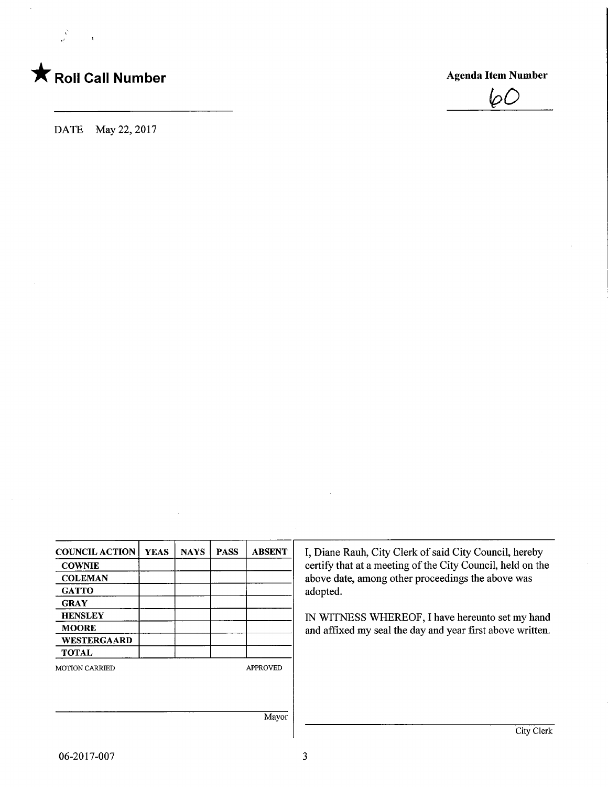

 $\frac{\delta}{\delta^2} = \frac{1}{\sqrt{2}}$ 

÷,

IpO

DATE May 22, 2017

| <b>COUNCIL ACTION</b> | <b>YEAS</b> | <b>NAYS</b> | <b>PASS</b> | <b>ABSENT</b>   | I, Diane Rauh, City Clerk of said City Council, hereby     |
|-----------------------|-------------|-------------|-------------|-----------------|------------------------------------------------------------|
| <b>COWNIE</b>         |             |             |             |                 | certify that at a meeting of the City Council, held on the |
| <b>COLEMAN</b>        |             |             |             |                 | above date, among other proceedings the above was          |
| <b>GATTO</b>          |             |             |             |                 | adopted.                                                   |
| <b>GRAY</b>           |             |             |             |                 |                                                            |
| <b>HENSLEY</b>        |             |             |             |                 | IN WITNESS WHEREOF, I have hereunto set my hand            |
| <b>MOORE</b>          |             |             |             |                 | and affixed my seal the day and year first above written.  |
| WESTERGAARD           |             |             |             |                 |                                                            |
| <b>TOTAL</b>          |             |             |             |                 |                                                            |
| <b>MOTION CARRIED</b> |             |             |             | <b>APPROVED</b> |                                                            |
|                       |             |             |             |                 |                                                            |
|                       |             |             |             |                 |                                                            |
|                       |             |             |             | Mayor           |                                                            |
|                       |             |             |             |                 | City Clerk                                                 |

 $\sim$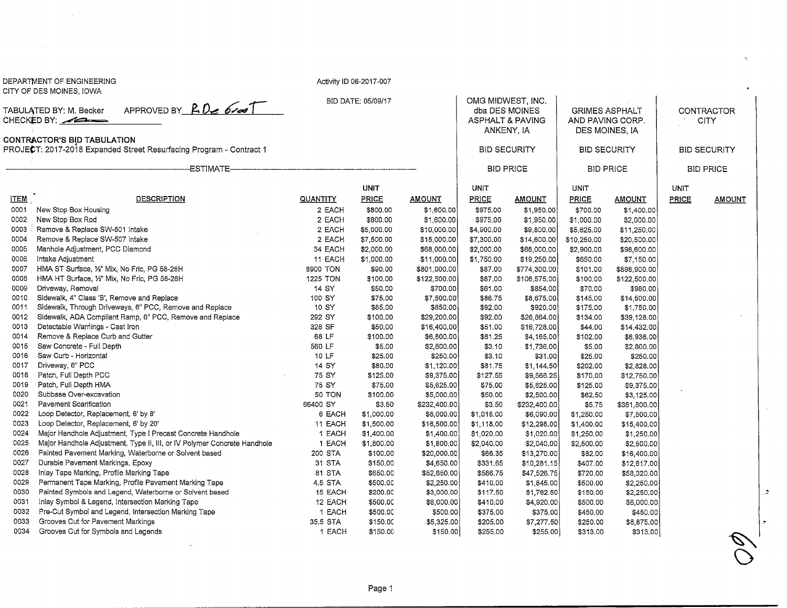|                                                                      | CITY OF DES MOINES, IOWA                                                                                                          |                  |                      |                          |                             |                          |                      |                          |                  |                                                                                                                |  |
|----------------------------------------------------------------------|-----------------------------------------------------------------------------------------------------------------------------------|------------------|----------------------|--------------------------|-----------------------------|--------------------------|----------------------|--------------------------|------------------|----------------------------------------------------------------------------------------------------------------|--|
|                                                                      |                                                                                                                                   |                  | BID DATE: 05/09/17   |                          | OMG MIDWEST, INC.           |                          |                      |                          |                  |                                                                                                                |  |
| APPROVED BY $R.Dz$ 6100<br>TABULATED BY: M. Becker<br>CHECKED BY: 22 |                                                                                                                                   |                  |                      | dba DES MOINES           |                             | <b>GRIMES ASPHALT</b>    |                      | CONTRACTOR               |                  |                                                                                                                |  |
|                                                                      |                                                                                                                                   |                  |                      |                          | <b>ASPHALT &amp; PAVING</b> |                          | AND PAVING CORP.     |                          |                  | <b>CITY</b>                                                                                                    |  |
|                                                                      |                                                                                                                                   |                  |                      |                          | ANKENY, IA                  |                          | DES MOINES, IA       |                          |                  |                                                                                                                |  |
|                                                                      | CONTRACTOR'S BID TABULATION<br>PROJECT: 2017-2018 Expanded Street Resurfacing Program - Contract 1                                |                  |                      |                          |                             | <b>BID SECURITY</b>      |                      | <b>BID SECURITY</b>      |                  | <b>BID SECURITY</b>                                                                                            |  |
|                                                                      |                                                                                                                                   |                  |                      |                          |                             |                          |                      |                          |                  |                                                                                                                |  |
|                                                                      |                                                                                                                                   |                  |                      |                          |                             | <b>BID PRICE</b>         |                      | <b>BID PRICE</b>         | <b>BID PRICE</b> |                                                                                                                |  |
|                                                                      |                                                                                                                                   |                  | <b>UNIT</b>          |                          | UNIT                        |                          | <b>UNIT</b>          |                          | UNIT             |                                                                                                                |  |
| <b>ITEM</b>                                                          | <b>DESCRIPTION</b>                                                                                                                | <b>QUANTITY</b>  | <b>PRICE</b>         | <b>AMOUNT</b>            | <b>PRICE</b>                | <b>AMOUNT</b>            | PRICE                | <b>AMOUNT</b>            | PRICE            | <b>AMOUNT</b>                                                                                                  |  |
| 0001                                                                 | New Stop Box Housing                                                                                                              | 2 EACH           | \$800.00             | \$1,600.00               | \$975.00                    | \$1,950.00               | \$700.00             | \$1,400.00               |                  |                                                                                                                |  |
| 0002                                                                 | New Stop Box Rod                                                                                                                  | 2 EACH           | \$800.00             | \$1,600.00               | \$975.00                    | \$1,950.00               | \$1,000.00           | \$2,000.00               |                  |                                                                                                                |  |
| 0003                                                                 | Remove & Replace SW-501 Intake                                                                                                    | 2 EACH           | \$5,000.00           | \$10,000.00              | \$4,900.00                  | \$9,800.00               | \$5,625.00           | \$11,250.00              |                  |                                                                                                                |  |
| 0004                                                                 | Remove & Replace SW-507 Intake                                                                                                    | 2 EACH           | \$7,500.00           | \$15,000.00              | \$7,300.00                  | \$14,600.00              | \$10,250.00          | \$20,500.00              |                  |                                                                                                                |  |
| 0005                                                                 | Manhole Adjustment, PCC Diamond                                                                                                   | 34 EACH          | \$2,000.00           | \$68,000.00              | \$2,000.00                  | \$68,000.00              | \$2,900.00           | \$98,600.00              |                  |                                                                                                                |  |
| 0006                                                                 | Intake Adjustment                                                                                                                 | 11 EACH          | \$1,000.00           | \$11,000.00              | \$1,750.00                  | \$19,250.00              | \$650.00             | \$7,150.00               |                  |                                                                                                                |  |
| 0007                                                                 | HMA ST Surface, 1/2" Mix, No Fric, PG 58-28H                                                                                      | 8900 TON         | \$90.00              | \$801,000.00             | \$87.00                     | \$774,300.00             | \$101.00             | \$898,900.00             |                  |                                                                                                                |  |
| 0008                                                                 | HMA HT Surface, 1/2" Mix, No Fric, PG 58-28H                                                                                      | 1225 TON         | \$100.00             | \$122,500.00             | \$87.00                     | \$106,575.00             | \$100.00             | \$122,500.00             |                  |                                                                                                                |  |
| 0009                                                                 | Driveway, Removal                                                                                                                 | 14 SY            | \$50.00              | \$700.00                 | \$61.00                     | \$854.00                 | \$70.00              | \$980.00                 |                  |                                                                                                                |  |
| 0010                                                                 | Sidewalk, 4" Class 'B', Remove and Replace                                                                                        | 100 SY           | \$75.00              | \$7,500.00               | \$86.75                     | \$8,675.00               | \$145.00             | \$14,500.00              |                  |                                                                                                                |  |
| 0011                                                                 | Sidewalk, Through Driveways, 6" PCC, Remove and Replace                                                                           | 10 SY            | \$85,00              | \$850.00                 | \$92.00                     | \$920.00                 | \$175.00             | \$1,750.00               |                  |                                                                                                                |  |
| 0012                                                                 | Sidewalk, ADA Compliant Ramp, 6" PCC, Remove and Replace                                                                          | 292 SY           | \$100.00             | \$29,200,00              | \$92.00                     | \$26,864.00              | \$134.00             | \$39,128,00              |                  |                                                                                                                |  |
| 0013                                                                 | Detectable Warnings - Cast Iron                                                                                                   | 328 SF           | \$50.00              | \$16,400.00              | \$51.00                     | \$16,728.00              | \$44.00              | \$14,432.00              |                  |                                                                                                                |  |
| 0014                                                                 | Remove & Replace Curb and Gutter                                                                                                  | 68 LF            | \$100.00             | \$6,800.00               | \$61.25                     | \$4,165.00               | \$102.00             | \$6,936.00               |                  |                                                                                                                |  |
| 0015                                                                 | Saw Concrete - Full Depth                                                                                                         | 560 LF           | \$5.00               | \$2,800.00               | \$3.10                      | \$1,736.00               | \$5.00               | \$2,800.00               |                  |                                                                                                                |  |
| 0016                                                                 | Saw Curb - Horizontal                                                                                                             | 10 LF            | \$25.00              | \$250.00                 | \$3.10                      | \$31.00                  | \$25.00              | \$250.00                 |                  |                                                                                                                |  |
| 0017                                                                 | Driveway, 6" PCC                                                                                                                  | 14 SY            | \$80.00              | \$1,120.00               | \$81.75                     | \$1,144.50               | \$202.00             | \$2,828.00               |                  |                                                                                                                |  |
| 0018                                                                 | Patch, Full Depth PCC                                                                                                             | 75 SY            | \$125.00             | \$9,375.00               | \$127.55                    | \$9,566.25               | \$170,00             | \$12,750.00              |                  |                                                                                                                |  |
| 0019                                                                 | Patch, Full Depth HMA                                                                                                             | 75 SY            | \$75.00              | \$5,625,00               | \$75.00                     | \$5,625.00               | \$125.00             | \$9,375.00               |                  |                                                                                                                |  |
| 0020                                                                 | Subbase Over-excavation                                                                                                           | <b>50 TON</b>    | \$100.00             | \$5,000.00               | \$50.00                     | \$2,500.00               | \$62,50              | \$3,125.00               |                  |                                                                                                                |  |
| 0021                                                                 | Pavement Scarification                                                                                                            | 66400 SY         | \$3.50               | \$232,400.00             | \$3.50                      | \$232,400.00             | \$5.75               | \$381,800.00             |                  |                                                                                                                |  |
| 0022                                                                 | Loop Detector, Replacement, 6' by 8'                                                                                              | 6 EACH           | \$1,000.00           | \$6,000.00               | \$1,015.00                  | \$6,090,00               | \$1,250.00           | \$7,500.00               |                  |                                                                                                                |  |
| 0023                                                                 | Loop Detector, Replacement, 6' by 20'                                                                                             | 11 EACH          | \$1,500.00           | \$16,500.00              | \$1,118.00                  | \$12,298.00              | \$1,400.00           | \$15,400.00              |                  |                                                                                                                |  |
| 0024                                                                 | Major Handhole Adjustment, Type I Precast Concrete Handhole                                                                       | 1 EACH           | \$1,400.00           | \$1,400.00               | \$1,020.00                  | \$1,020.00               | \$1,250.00           | \$1,250.00               |                  |                                                                                                                |  |
| 0025<br>0026                                                         | Major Handhole Adjustment, Type II, III, or IV Polymer Concrete Handhole<br>Painted Pavement Marking, Waterborne or Solvent based | 1 EACH           | \$1,800.00           | \$1,800.00               | \$2,040.00                  | \$2,040.00               | \$2,500.00           | \$2,500.00               |                  |                                                                                                                |  |
| 0027                                                                 | Durable Pavement Markings, Epoxy                                                                                                  | 200 STA          | \$100.00             | \$20,000.00              | \$66.35                     | \$13,270.00              | \$82.00              | \$16,400.00              |                  |                                                                                                                |  |
| 0028                                                                 |                                                                                                                                   | 31 STA<br>81 STA | \$150.00             | \$4,650.00               | \$331,65                    | \$10,281.15              | \$407.00             | \$12,617.00              |                  |                                                                                                                |  |
| 0029                                                                 | Inlay Tape Marking, Profile Marking Tape<br>Permanent Tape Marking, Profile Pavement Marking Tape                                 | 4.5 STA          | \$650.00<br>\$500.00 | \$52,650.00              | \$586.75                    | \$47,526.75              | \$720.00             | \$58,320.00              |                  |                                                                                                                |  |
| 0030                                                                 | Painted Symbols and Legend, Waterborne or Solvent based                                                                           | 15 EACH          | \$200.00             | \$2,250.00<br>\$3,000.00 | \$410.00<br>\$117.50        | \$1,845.00<br>\$1,762.50 | \$500.00<br>\$150,00 | \$2,250.00<br>\$2,250.00 |                  |                                                                                                                |  |
| 0031                                                                 | Inlay Symbol & Legend, Intersection Marking Tape                                                                                  | 12 EACH          | \$500.00             | \$6,000.00               | \$410.00                    | \$4,920.00               | \$500.00             | \$6,000.00               |                  |                                                                                                                |  |
| 0032                                                                 | Pre-Cut Symbol and Legend, Intersection Marking Tape                                                                              | 1 EACH           | \$500.00             | \$500.00                 | \$375.00                    | \$375.00                 | \$450.00             | \$450.00                 |                  |                                                                                                                |  |
| 0033                                                                 | Grooves Cut for Pavement Markings                                                                                                 | 35.5 STA         | \$150.00             | \$5,325.00               | \$205.00                    | \$7,277.50               | \$250.00             | \$8,875.00               |                  |                                                                                                                |  |
| 0034                                                                 | Grooves Cut for Symbols and Legends                                                                                               | 1 EACH           | \$150.00             | \$150.00                 | \$255.00                    | \$255.00                 | \$313.00             | \$313.00                 |                  |                                                                                                                |  |
|                                                                      |                                                                                                                                   |                  |                      |                          |                             |                          |                      |                          |                  | $\mathcal{D}% _{T}=\mathcal{D}_{T}\!\left( a,b\right) ,\ \mathcal{D}_{T}=\mathcal{D}_{T}\!\left( a,b\right) ,$ |  |

Activity ID 06-2017-007

 $\sim 100$ 

DEPARTMENT OF ENGINEERING

 $\mathbf{q}_\perp$ 

 $\bigcirc$ 

 $\mathcal{L}^{\pm}$ 

 $\mathbf{A}_\mathrm{c}$ 

 $\sigma$